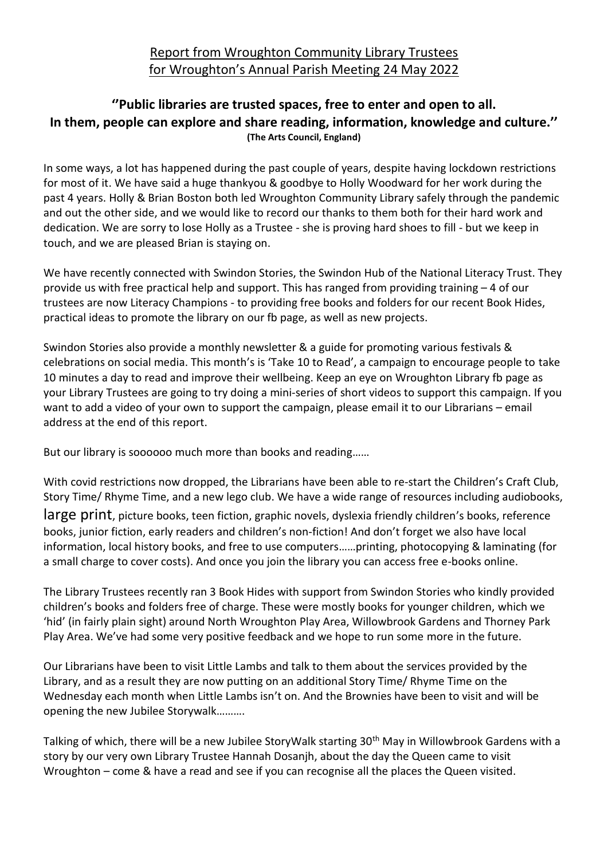## **''Public libraries are trusted spaces, free to enter and open to all. In them, people can explore and share reading, information, knowledge and culture.'' (The Arts Council, England)**

In some ways, a lot has happened during the past couple of years, despite having lockdown restrictions for most of it. We have said a huge thankyou & goodbye to Holly Woodward for her work during the past 4 years. Holly & Brian Boston both led Wroughton Community Library safely through the pandemic and out the other side, and we would like to record our thanks to them both for their hard work and dedication. We are sorry to lose Holly as a Trustee - she is proving hard shoes to fill - but we keep in touch, and we are pleased Brian is staying on.

We have recently connected with Swindon Stories, the Swindon Hub of the National Literacy Trust. They provide us with free practical help and support. This has ranged from providing training  $-4$  of our trustees are now Literacy Champions - to providing free books and folders for our recent Book Hides, practical ideas to promote the library on our fb page, as well as new projects.

Swindon Stories also provide a monthly newsletter & a guide for promoting various festivals & celebrations on social media. This month's is 'Take 10 to Read', a campaign to encourage people to take 10 minutes a day to read and improve their wellbeing. Keep an eye on Wroughton Library fb page as your Library Trustees are going to try doing a mini-series of short videos to support this campaign. If you want to add a video of your own to support the campaign, please email it to our Librarians – email address at the end of this report.

But our library is soooooo much more than books and reading……

With covid restrictions now dropped, the Librarians have been able to re-start the Children's Craft Club, Story Time/ Rhyme Time, and a new lego club. We have a wide range of resources including audiobooks,

large print, picture books, teen fiction, graphic novels, dyslexia friendly children's books, reference books, junior fiction, early readers and children's non-fiction! And don't forget we also have local information, local history books, and free to use computers……printing, photocopying & laminating (for a small charge to cover costs). And once you join the library you can access free e-books online.

The Library Trustees recently ran 3 Book Hides with support from Swindon Stories who kindly provided children's books and folders free of charge. These were mostly books for younger children, which we 'hid' (in fairly plain sight) around North Wroughton Play Area, Willowbrook Gardens and Thorney Park Play Area. We've had some very positive feedback and we hope to run some more in the future.

Our Librarians have been to visit Little Lambs and talk to them about the services provided by the Library, and as a result they are now putting on an additional Story Time/ Rhyme Time on the Wednesday each month when Little Lambs isn't on. And the Brownies have been to visit and will be opening the new Jubilee Storywalk……….

Talking of which, there will be a new Jubilee StoryWalk starting 30<sup>th</sup> May in Willowbrook Gardens with a story by our very own Library Trustee Hannah Dosanjh, about the day the Queen came to visit Wroughton – come & have a read and see if you can recognise all the places the Queen visited.